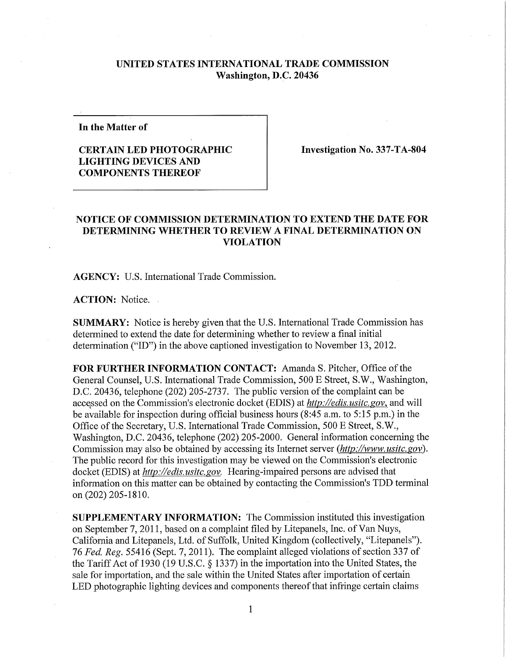## **UNITED STATES INTERNATIONAL TRADE COMMISSION Washington, D.C. 20436**

**In the Matter of** 

## **CERTAIN LED PHOTOGRAPHIC LIGHTING DEVICES AND COMPONENTS THEREOF**

**Investigation No. 337-TA-804** 

## **NOTICE OF COMMISSION DETERMINATION TO EXTEND THE DATE FOR DETERMINING WHETHER TO REVIEW A FINAL DETERMINATION ON VIOLATION**

**AGENCY:** U.S. International Trade Commission.

**ACTION:** Notice.

**SUMMARY:** Notice is hereby given that the U.S. International Trade Commission has determined to extend the date for determining whether to review a final initial determination ("ID") in the above captioned investigation to November 13, 2012.

FOR FURTHER INFORMATION CONTACT: Amanda S. Pitcher, Office of the General Counsel, U.S. International Trade Commission, 500 E Street, S.W., Washington, D.C. 20436, telephone (202) 205-2737. The public version of the complaint can be accessed on the Commission's electronic docket (EDIS) at *http://edis. usitc.gov,* and will be available for inspection during official business hours (8:45 a.m. to 5:15 p.m.) in the Office of the Secretary, U.S. International Trade Commission, 500 E Street, S.W., Washington, D.C. 20436, telephone (202) 205-2000. General information concerning the Commission may also be obtained by accessing its Internet server *(http://www. usitc.gov).*  The public record for this investigation may be viewed on the Commission's electronic docket (EDIS) at *http://edis. usitc. gov.* Hearing-impaired persons are advised that information on this matter can be obtained by contacting the Commission's TDD terminal on (202) 205-1810.

**SUPPLEMENTARY INFORMATION:** The Commission instituted this investigation on September 7, 2011, based on a complaint filed by Litepanels, Inc. of Van Nuys, California and Litepanels, Ltd. of Suffolk, United Kingdom (collectively, "Litepanels"). 76 *Fed. Reg.* 55416 (Sept. 7, 2011). The complaint alleged violations of section 337 of the Tariff Act of 1930 (19 U.S.C. § 1337) in the importation into the United States, the sale for importation, and the sale within the United States after importation of certain LED photographic lighting devices and components thereof that infringe certain claims